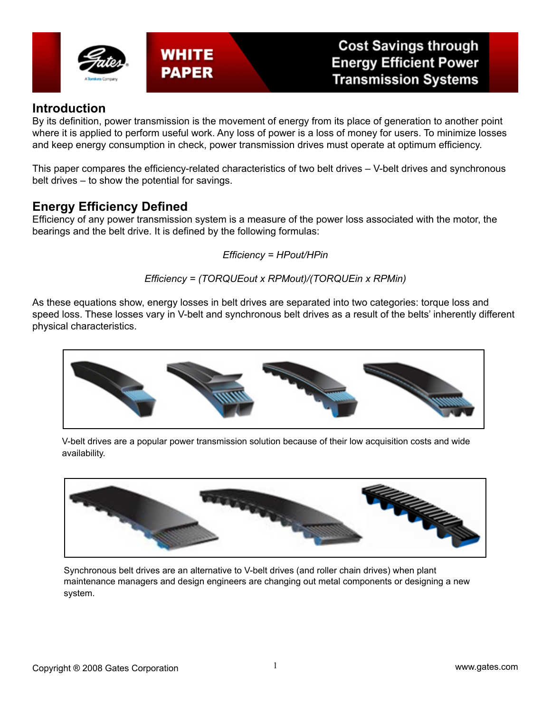

**WHITE** 

**PAPER** 

**Cost Savings through Energy Efficient Power Transmission Systems** 

#### **Introduction**

By its definition, power transmission is the movement of energy from its place of generation to another point where it is applied to perform useful work. Any loss of power is a loss of money for users. To minimize losses and keep energy consumption in check, power transmission drives must operate at optimum efficiency.

This paper compares the efficiency-related characteristics of two belt drives – V-belt drives and synchronous belt drives – to show the potential for savings.

#### **Energy Efficiency Defined**

Efficiency of any power transmission system is a measure of the power loss associated with the motor, the bearings and the belt drive. It is defined by the following formulas:

*Efficiency = HPout/HPin*

*Efficiency = (TORQUEout x RPMout)/(TORQUEin x RPMin)*

As these equations show, energy losses in belt drives are separated into two categories: torque loss and speed loss. These losses vary in V-belt and synchronous belt drives as a result of the belts' inherently different physical characteristics.



V-belt drives are a popular power transmission solution because of their low acquisition costs and wide availability.



Synchronous belt drives are an alternative to V-belt drives (and roller chain drives) when plant maintenance managers and design engineers are changing out metal components or designing a new system.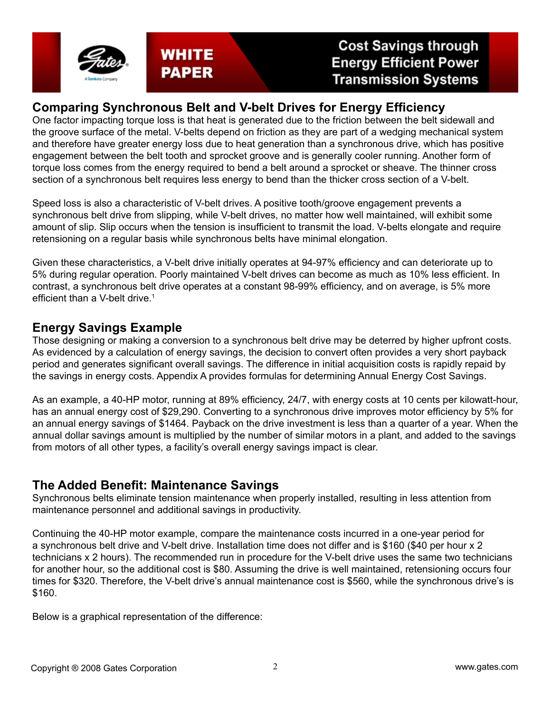

## **Cost Savings through Energy Efficient Power Transmission Systems**

#### **Comparing Synchronous Belt and V-belt Drives for Energy Efficiency**

WHITE

**PAPER** 

One factor impacting torque loss is that heat is generated due to the friction between the belt sidewall and the groove surface of the metal. V-belts depend on friction as they are part of a wedging mechanical system and therefore have greater energy loss due to heat generation than a synchronous drive, which has positive engagement between the belt tooth and sprocket groove and is generally cooler running. Another form of torque loss comes from the energy required to bend a belt around a sprocket or sheave. The thinner cross section of a synchronous belt requires less energy to bend than the thicker cross section of a V-belt.

Speed loss is also a characteristic of V-belt drives. A positive tooth/groove engagement prevents a synchronous belt drive from slipping, while V-belt drives, no matter how well maintained, will exhibit some amount of slip. Slip occurs when the tension is insufficient to transmit the load. V-belts elongate and require retensioning on a regular basis while synchronous belts have minimal elongation.

Given these characteristics, a V-belt drive initially operates at 94-97% efficiency and can deteriorate up to 5% during regular operation. Poorly maintained V-belt drives can become as much as 10% less efficient. In contrast, a synchronous belt drive operates at a constant 98-99% efficiency, and on average, is 5% more efficient than a V-belt drive.<sup>1</sup>

### **Energy Savings Example**

Those designing or making a conversion to a synchronous belt drive may be deterred by higher upfront costs. As evidenced by a calculation of energy savings, the decision to convert often provides a very short payback period and generates significant overall savings. The difference in initial acquisition costs is rapidly repaid by the savings in energy costs. Appendix A provides formulas for determining Annual Energy Cost Savings.

As an example, a 40-HP motor, running at 89% efficiency, 24/7, with energy costs at 10 cents per kilowatt-hour, has an annual energy cost of \$29,290. Converting to a synchronous drive improves motor efficiency by 5% for an annual energy savings of \$1464. Payback on the drive investment is less than a quarter of a year. When the annual dollar savings amount is multiplied by the number of similar motors in a plant, and added to the savings from motors of all other types, a facility's overall energy savings impact is clear.

#### **The Added Benefit: Maintenance Savings**

Synchronous belts eliminate tension maintenance when properly installed, resulting in less attention from maintenance personnel and additional savings in productivity.

Continuing the 40-HP motor example, compare the maintenance costs incurred in a one-year period for a synchronous belt drive and V-belt drive. Installation time does not differ and is \$160 (\$40 per hour x 2 technicians x 2 hours). The recommended run in procedure for the V-belt drive uses the same two technicians for another hour, so the additional cost is \$80. Assuming the drive is well maintained, retensioning occurs four times for \$320. Therefore, the V-belt drive's annual maintenance cost is \$560, while the synchronous drive's is \$160.

Below is a graphical representation of the difference: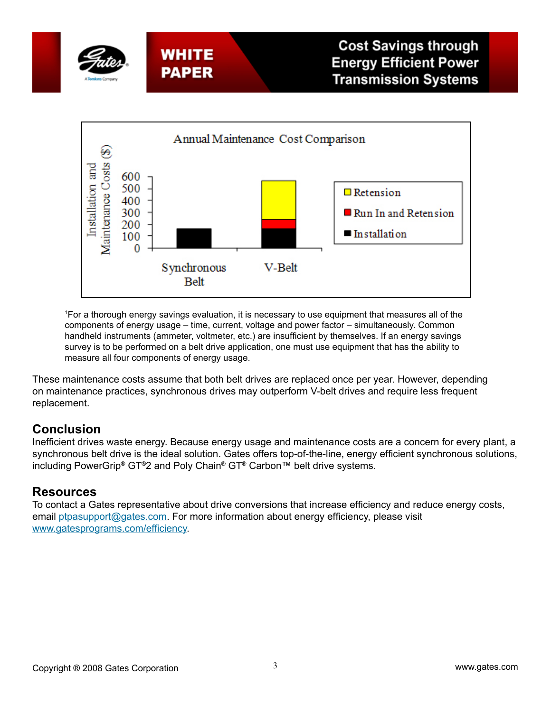

WHITE

**PAPER** 



1 For a thorough energy savings evaluation, it is necessary to use equipment that measures all of the components of energy usage – time, current, voltage and power factor – simultaneously. Common handheld instruments (ammeter, voltmeter, etc.) are insufficient by themselves. If an energy savings survey is to be performed on a belt drive application, one must use equipment that has the ability to measure all four components of energy usage.

These maintenance costs assume that both belt drives are replaced once per year. However, depending on maintenance practices, synchronous drives may outperform V-belt drives and require less frequent replacement.

#### **Conclusion**

Inefficient drives waste energy. Because energy usage and maintenance costs are a concern for every plant, a synchronous belt drive is the ideal solution. Gates offers top-of-the-line, energy efficient synchronous solutions, including PowerGrip® GT®2 and Poly Chain® GT® Carbon™ belt drive systems.

#### **Resources**

To contact a Gates representative about drive conversions that increase efficiency and reduce energy costs, email [ptpasupport@gates.com](mailto:ptpasupport@gates.com). For more information about energy efficiency, please visit [www.gatesprograms.com/efficienc](http://www.gatesprograms.com/efficiency)y.